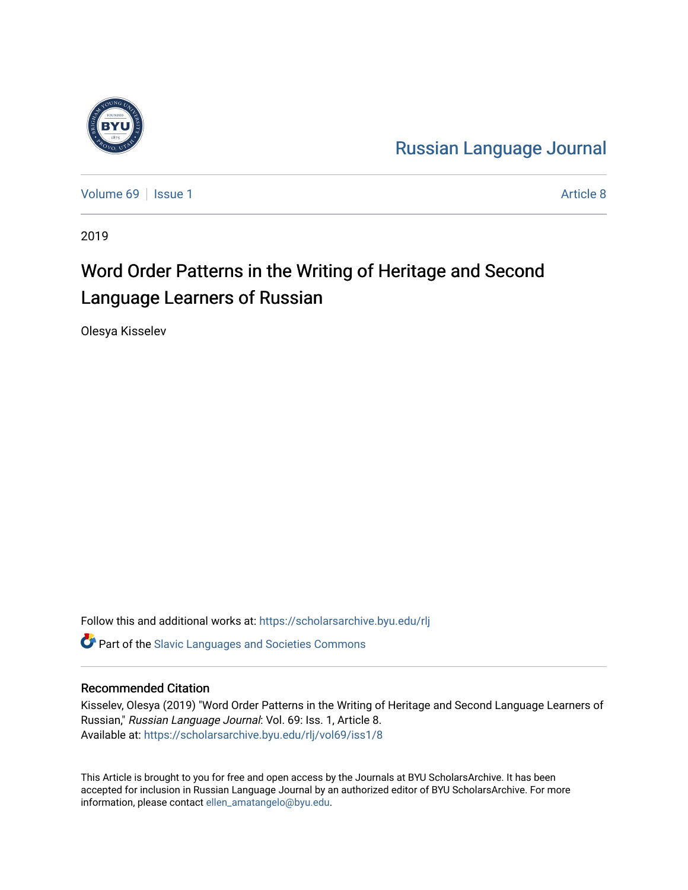

[Russian Language Journal](https://scholarsarchive.byu.edu/rlj) 

[Volume 69](https://scholarsarchive.byu.edu/rlj/vol69) | [Issue 1](https://scholarsarchive.byu.edu/rlj/vol69/iss1) Article 8

2019

# Word Order Patterns in the Writing of Heritage and Second Language Learners of Russian

Olesya Kisselev

Follow this and additional works at: [https://scholarsarchive.byu.edu/rlj](https://scholarsarchive.byu.edu/rlj?utm_source=scholarsarchive.byu.edu%2Frlj%2Fvol69%2Fiss1%2F8&utm_medium=PDF&utm_campaign=PDFCoverPages)

**C** Part of the Slavic Languages and Societies Commons

#### Recommended Citation

Kisselev, Olesya (2019) "Word Order Patterns in the Writing of Heritage and Second Language Learners of Russian," Russian Language Journal: Vol. 69: Iss. 1, Article 8. Available at: [https://scholarsarchive.byu.edu/rlj/vol69/iss1/8](https://scholarsarchive.byu.edu/rlj/vol69/iss1/8?utm_source=scholarsarchive.byu.edu%2Frlj%2Fvol69%2Fiss1%2F8&utm_medium=PDF&utm_campaign=PDFCoverPages) 

This Article is brought to you for free and open access by the Journals at BYU ScholarsArchive. It has been accepted for inclusion in Russian Language Journal by an authorized editor of BYU ScholarsArchive. For more information, please contact [ellen\\_amatangelo@byu.edu.](mailto:ellen_amatangelo@byu.edu)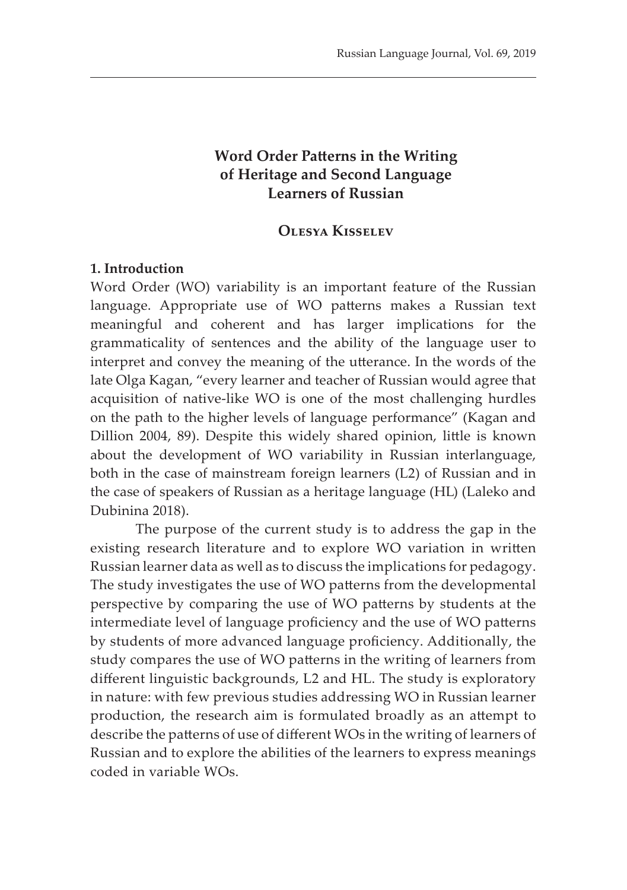# **Word Order Patterns in the Writing of Heritage and Second Language Learners of Russian**

# **Olesya Kisselev**

#### **1. Introduction**

Word Order (WO) variability is an important feature of the Russian language. Appropriate use of WO patterns makes a Russian text meaningful and coherent and has larger implications for the grammaticality of sentences and the ability of the language user to interpret and convey the meaning of the utterance. In the words of the late Olga Kagan, "every learner and teacher of Russian would agree that acquisition of native-like WO is one of the most challenging hurdles on the path to the higher levels of language performance" (Kagan and Dillion 2004, 89). Despite this widely shared opinion, little is known about the development of WO variability in Russian interlanguage, both in the case of mainstream foreign learners (L2) of Russian and in the case of speakers of Russian as a heritage language (HL) (Laleko and Dubinina 2018).

The purpose of the current study is to address the gap in the existing research literature and to explore WO variation in written Russian learner data as well as to discuss the implications for pedagogy. The study investigates the use of WO patterns from the developmental perspective by comparing the use of WO patterns by students at the intermediate level of language proficiency and the use of WO patterns by students of more advanced language proficiency. Additionally, the study compares the use of WO patterns in the writing of learners from different linguistic backgrounds, L2 and HL. The study is exploratory in nature: with few previous studies addressing WO in Russian learner production, the research aim is formulated broadly as an attempt to describe the patterns of use of different WOs in the writing of learners of Russian and to explore the abilities of the learners to express meanings coded in variable WOs.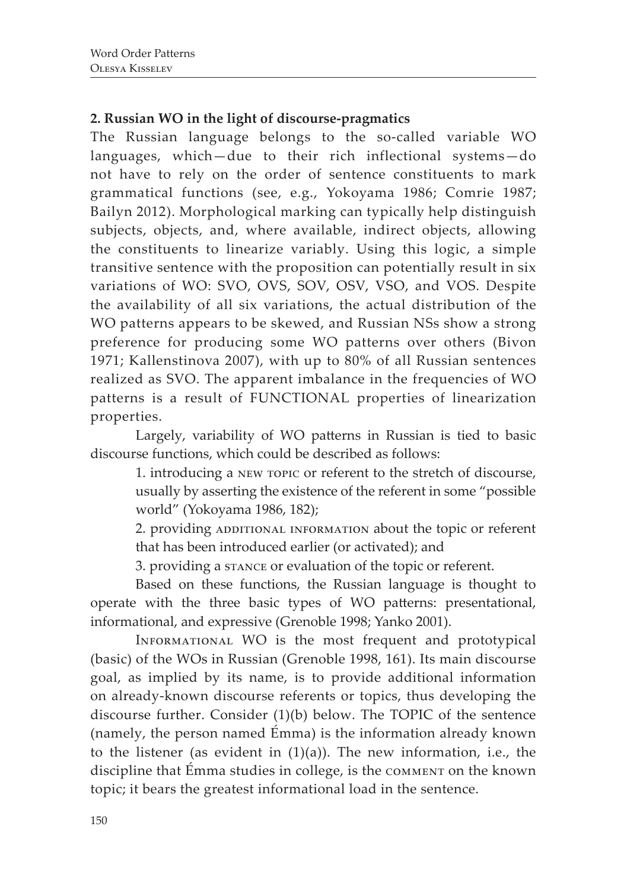# **2. Russian WO in the light of discourse-pragmatics**

The Russian language belongs to the so-called variable WO languages, which—due to their rich inflectional systems—do not have to rely on the order of sentence constituents to mark grammatical functions (see, e.g., Yokoyama 1986; Comrie 1987; Bailyn 2012). Morphological marking can typically help distinguish subjects, objects, and, where available, indirect objects, allowing the constituents to linearize variably. Using this logic, a simple transitive sentence with the proposition can potentially result in six variations of WO: SVO, OVS, SOV, OSV, VSO, and VOS. Despite the availability of all six variations, the actual distribution of the WO patterns appears to be skewed, and Russian NSs show a strong preference for producing some WO patterns over others (Bivon 1971; Kallenstinova 2007), with up to 80% of all Russian sentences realized as SVO. The apparent imbalance in the frequencies of WO patterns is a result of FUNCTIONAL properties of linearization properties.

Largely, variability of WO patterns in Russian is tied to basic discourse functions, which could be described as follows:

> 1. introducing a new topic or referent to the stretch of discourse, usually by asserting the existence of the referent in some "possible world" (Yokoyama 1986, 182);

> 2. providing ADDITIONAL INFORMATION about the topic or referent that has been introduced earlier (or activated); and

3. providing a stance or evaluation of the topic or referent.

Based on these functions, the Russian language is thought to operate with the three basic types of WO patterns: presentational, informational, and expressive (Grenoble 1998; Yanko 2001).

Informational WO is the most frequent and prototypical (basic) of the WOs in Russian (Grenoble 1998, 161). Its main discourse goal, as implied by its name, is to provide additional information on already-known discourse referents or topics, thus developing the discourse further. Consider (1)(b) below. The TOPIC of the sentence (namely, the person named Émma) is the information already known to the listener (as evident in  $(1)(a)$ ). The new information, i.e., the discipline that Émma studies in college, is the comment on the known topic; it bears the greatest informational load in the sentence.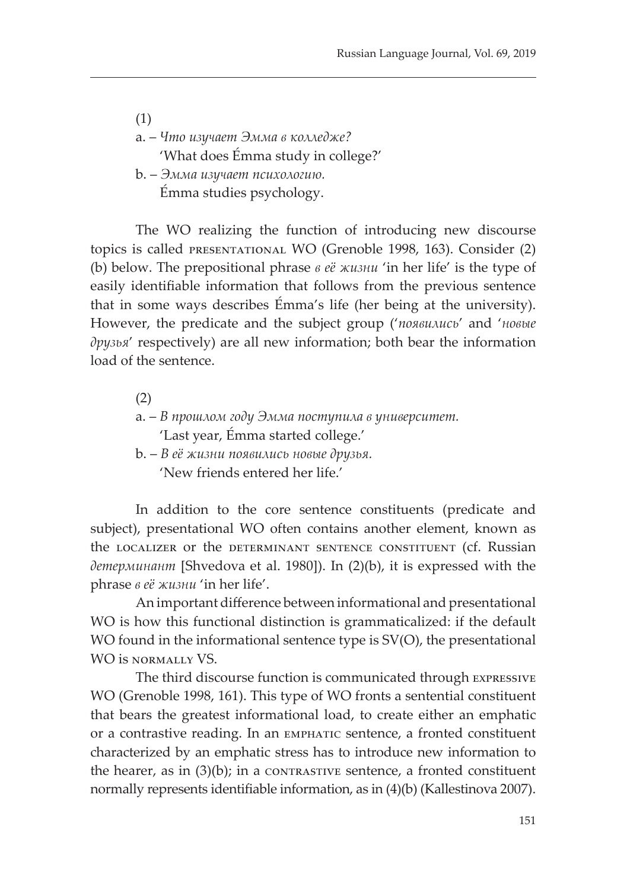(1) a. – *Что изучает Эмма в колледже?* 'What does Émma study in college?' b. – *Эмма изучает психологию.* Émma studies psychology.

The WO realizing the function of introducing new discourse topics is called presentational WO (Grenoble 1998, 163). Consider (2) (b) below. The prepositional phrase *в еë жизни* 'in her life' is the type of easily identifiable information that follows from the previous sentence that in some ways describes Émma's life (her being at the university). However, the predicate and the subject group ('*появились*' and '*новые друзья*' respectively) are all new information; both bear the information load of the sentence.

(2)

- а. *В прошлом году Эмма поступила в университет.* 'Last year, Émma started college.'
- b. *В еë жизни появились новые друзья.* 'New friends entered her life.'

In addition to the core sentence constituents (predicate and subject), presentational WO often contains another element, known as the localizer or the determinant sentence constituent (cf. Russian *детерминант* [Shvedova et al. 1980]). In (2)(b), it is expressed with the phrase *в еë жизни* 'in her life'.

An important difference between informational and presentational WO is how this functional distinction is grammaticalized: if the default WO found in the informational sentence type is  $SV(O)$ , the presentational WO is normally VS.

The third discourse function is communicated through expressive WO (Grenoble 1998, 161). This type of WO fronts a sentential constituent that bears the greatest informational load, to create either an emphatic or a contrastive reading. In an emphatic sentence, a fronted constituent characterized by an emphatic stress has to introduce new information to the hearer, as in  $(3)(b)$ ; in a contrastive sentence, a fronted constituent normally represents identifiable information, as in (4)(b) (Kallestinova 2007).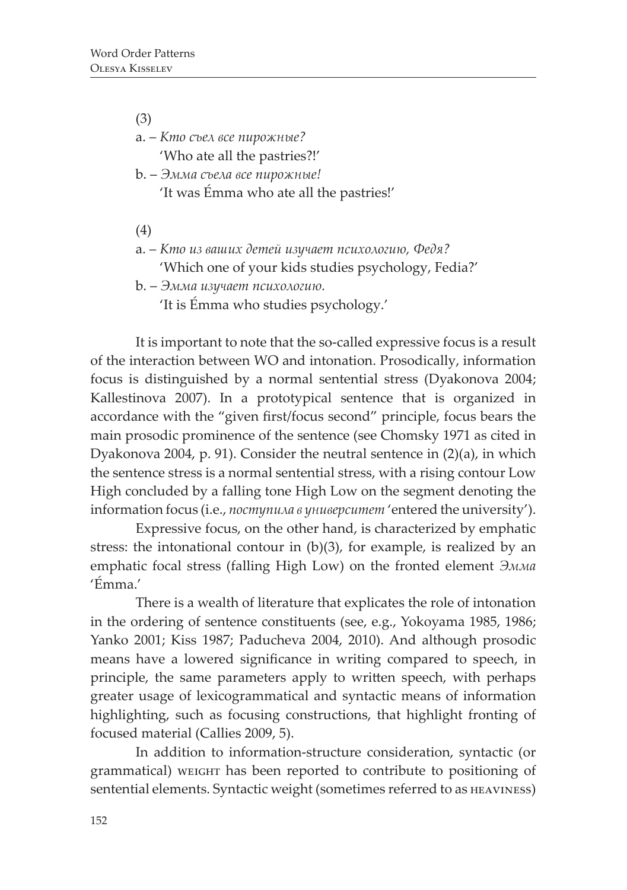(3)

а. – *Кто съел все пирожные?* 'Who ate all the pastries?!'

- b. *Эмма съела все пирожные!* 'It was Émma who ate all the pastries!'
- (4)
- а. *Кто из ваших детей изучает психологию, Федя?* 'Which one of your kids studies psychology, Fedia?'
- b. *Эмма изучает психологию.*
	- 'It is Émma who studies psychology.'

It is important to note that the so-called expressive focus is a result of the interaction between WO and intonation. Prosodically, information focus is distinguished by a normal sentential stress (Dyakonova 2004; Kallestinova 2007). In a prototypical sentence that is organized in accordance with the "given first/focus second" principle, focus bears the main prosodic prominence of the sentence (see Chomsky 1971 as cited in Dyakonova 2004, p. 91). Consider the neutral sentence in (2)(a), in which the sentence stress is a normal sentential stress, with a rising contour Low High concluded by a falling tone High Low on the segment denoting the information focus (i.e., *поступила в университет* 'entered the university').

Expressive focus, on the other hand, is characterized by emphatic stress: the intonational contour in (b)(3), for example, is realized by an emphatic focal stress (falling High Low) on the fronted element *Эмма* 'Émma.'

There is a wealth of literature that explicates the role of intonation in the ordering of sentence constituents (see, e.g., Yokoyama 1985, 1986; Yanko 2001; Kiss 1987; Paducheva 2004, 2010). And although prosodic means have a lowered significance in writing compared to speech, in principle, the same parameters apply to written speech, with perhaps greater usage of lexicogrammatical and syntactic means of information highlighting, such as focusing constructions, that highlight fronting of focused material (Callies 2009, 5).

In addition to information-structure consideration, syntactic (or grammatical) weight has been reported to contribute to positioning of sentential elements. Syntactic weight (sometimes referred to as  $H$ EAVINESS)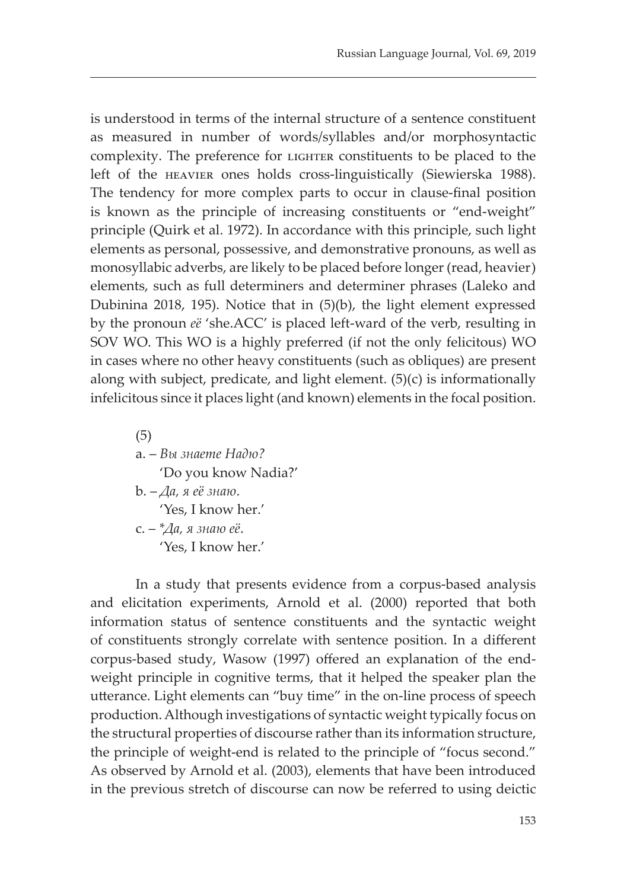is understood in terms of the internal structure of a sentence constituent as measured in number of words/syllables and/or morphosyntactic complexity. The preference for LIGHTER constituents to be placed to the left of the heavier ones holds cross-linguistically (Siewierska 1988). The tendency for more complex parts to occur in clause-final position is known as the principle of increasing constituents or "end-weight" principle (Quirk et al. 1972). In accordance with this principle, such light elements as personal, possessive, and demonstrative pronouns, as well as monosyllabic adverbs, are likely to be placed before longer (read, heavier) elements, such as full determiners and determiner phrases (Laleko and Dubinina 2018, 195). Notice that in (5)(b), the light element expressed by the pronoun *eë* 'she.ACC' is placed left-ward of the verb, resulting in SOV WO. This WO is a highly preferred (if not the only felicitous) WO in cases where no other heavy constituents (such as obliques) are present along with subject, predicate, and light element. (5)(c) is informationally infelicitous since it places light (and known) elements in the focal position.

(5) a. – *Вы знаете Надю?* 'Do you know Nadia?' b. – *Да, я eë знаю*. 'Yes, I know her.' c. – *\*Да, я знаю eë*. 'Yes, I know her.'

In a study that presents evidence from a corpus-based analysis and elicitation experiments, Arnold et al. (2000) reported that both information status of sentence constituents and the syntactic weight of constituents strongly correlate with sentence position. In a different corpus-based study, Wasow (1997) offered an explanation of the endweight principle in cognitive terms, that it helped the speaker plan the utterance. Light elements can "buy time" in the on-line process of speech production. Although investigations of syntactic weight typically focus on the structural properties of discourse rather than its information structure, the principle of weight-end is related to the principle of "focus second." As observed by Arnold et al. (2003), elements that have been introduced in the previous stretch of discourse can now be referred to using deictic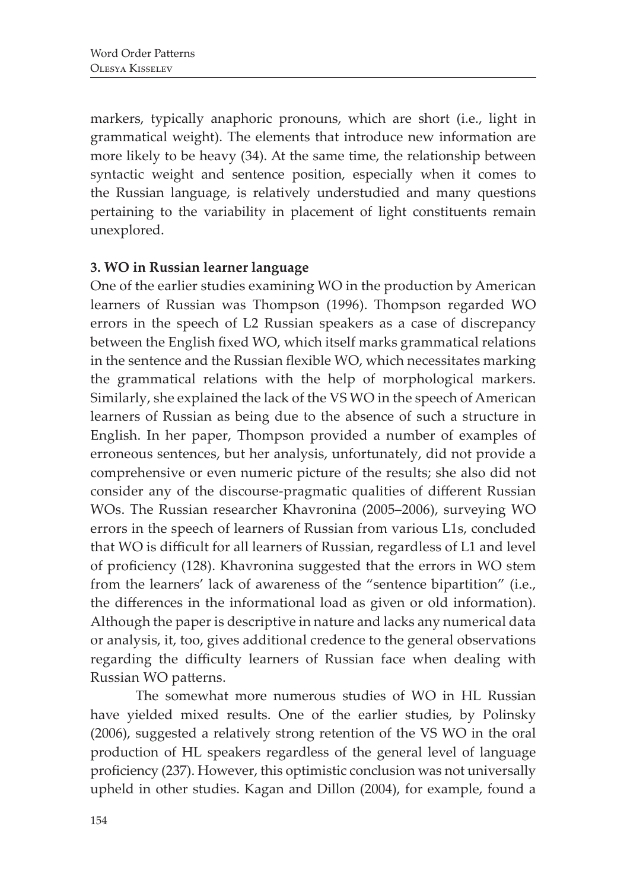markers, typically anaphoric pronouns, which are short (i.e., light in grammatical weight). The elements that introduce new information are more likely to be heavy (34). At the same time, the relationship between syntactic weight and sentence position, especially when it comes to the Russian language, is relatively understudied and many questions pertaining to the variability in placement of light constituents remain unexplored.

# **3. WO in Russian learner language**

One of the earlier studies examining WO in the production by American learners of Russian was Thompson (1996). Thompson regarded WO errors in the speech of L2 Russian speakers as a case of discrepancy between the English fixed WO, which itself marks grammatical relations in the sentence and the Russian flexible WO, which necessitates marking the grammatical relations with the help of morphological markers. Similarly, she explained the lack of the VS WO in the speech of American learners of Russian as being due to the absence of such a structure in English. In her paper, Thompson provided a number of examples of erroneous sentences, but her analysis, unfortunately, did not provide a comprehensive or even numeric picture of the results; she also did not consider any of the discourse-pragmatic qualities of different Russian WOs. The Russian researcher Khavronina (2005–2006), surveying WO errors in the speech of learners of Russian from various L1s, concluded that WO is difficult for all learners of Russian, regardless of L1 and level of proficiency (128). Khavronina suggested that the errors in WO stem from the learners' lack of awareness of the "sentence bipartition" (i.e., the differences in the informational load as given or old information). Although the paper is descriptive in nature and lacks any numerical data or analysis, it, too, gives additional credence to the general observations regarding the difficulty learners of Russian face when dealing with Russian WO patterns.

The somewhat more numerous studies of WO in HL Russian have yielded mixed results. One of the earlier studies, by Polinsky (2006), suggested a relatively strong retention of the VS WO in the oral production of HL speakers regardless of the general level of language proficiency (237). However, this optimistic conclusion was not universally upheld in other studies. Kagan and Dillon (2004), for example, found a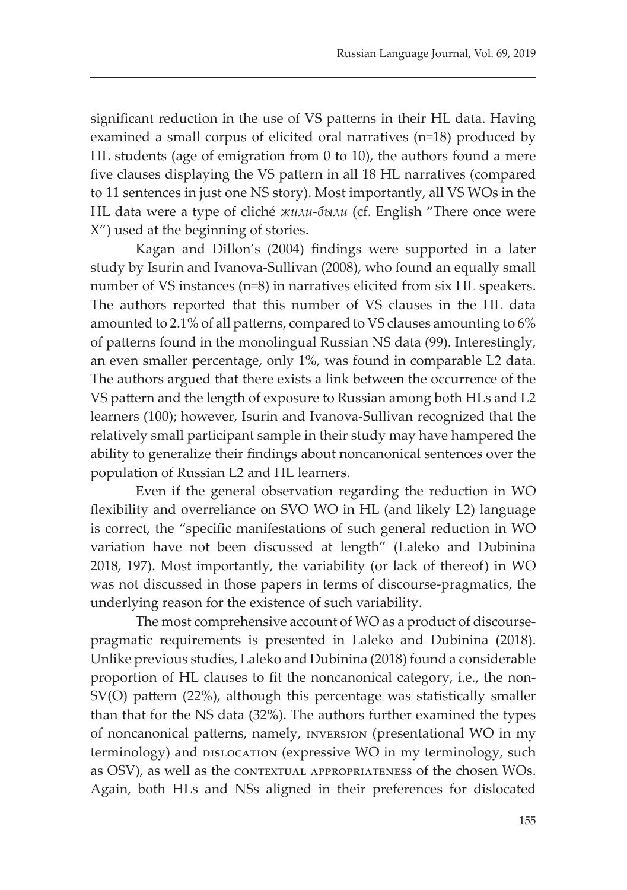significant reduction in the use of VS patterns in their HL data. Having examined a small corpus of elicited oral narratives (n=18) produced by HL students (age of emigration from 0 to 10), the authors found a mere five clauses displaying the VS pattern in all 18 HL narratives (compared to 11 sentences in just one NS story). Most importantly, all VS WOs in the HL data were a type of cliché *жили-были* (cf. English "There once were X") used at the beginning of stories.

Kagan and Dillon's (2004) findings were supported in a later study by Isurin and Ivanova-Sullivan (2008), who found an equally small number of VS instances (n=8) in narratives elicited from six HL speakers. The authors reported that this number of VS clauses in the HL data amounted to 2.1% of all patterns, compared to VS clauses amounting to 6% of patterns found in the monolingual Russian NS data (99). Interestingly, an even smaller percentage, only 1%, was found in comparable L2 data. The authors argued that there exists a link between the occurrence of the VS pattern and the length of exposure to Russian among both HLs and L2 learners (100); however, Isurin and Ivanova-Sullivan recognized that the relatively small participant sample in their study may have hampered the ability to generalize their findings about noncanonical sentences over the population of Russian L2 and HL learners.

Even if the general observation regarding the reduction in WO flexibility and overreliance on SVO WO in HL (and likely L2) language is correct, the "specific manifestations of such general reduction in WO variation have not been discussed at length" (Laleko and Dubinina 2018, 197). Most importantly, the variability (or lack of thereof) in WO was not discussed in those papers in terms of discourse-pragmatics, the underlying reason for the existence of such variability.

The most comprehensive account of WO as a product of discoursepragmatic requirements is presented in Laleko and Dubinina (2018). Unlike previous studies, Laleko and Dubinina (2018) found a considerable proportion of HL clauses to fit the noncanonical category, i.e., the non-SV(O) pattern (22%), although this percentage was statistically smaller than that for the NS data (32%). The authors further examined the types of noncanonical patterns, namely, inversion (presentational WO in my terminology) and DISLOCATION (expressive WO in my terminology, such as OSV), as well as the contextual appropriateness of the chosen WOs. Again, both HLs and NSs aligned in their preferences for dislocated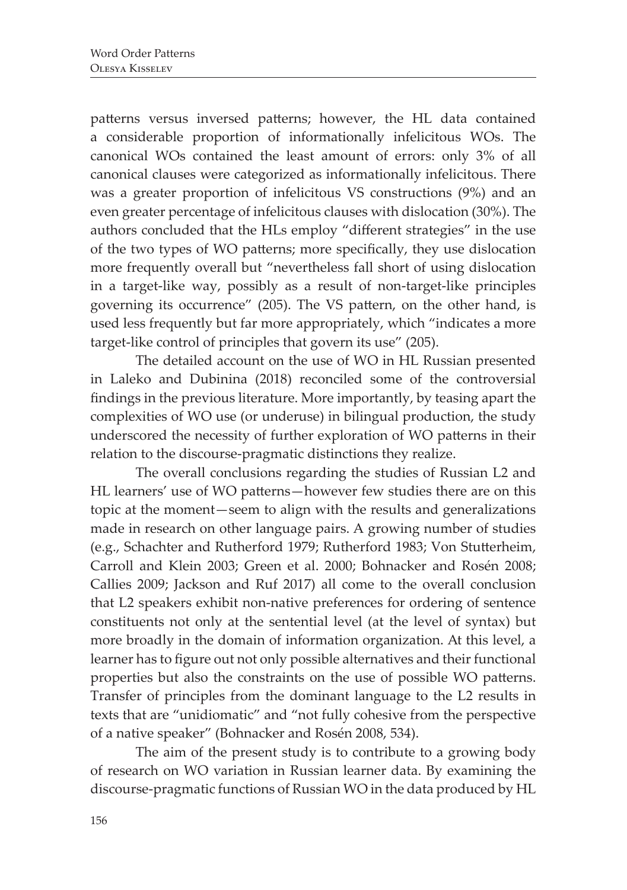patterns versus inversed patterns; however, the HL data contained a considerable proportion of informationally infelicitous WOs. The canonical WOs contained the least amount of errors: only 3% of all canonical clauses were categorized as informationally infelicitous. There was a greater proportion of infelicitous VS constructions (9%) and an even greater percentage of infelicitous clauses with dislocation (30%). The authors concluded that the HLs employ "different strategies" in the use of the two types of WO patterns; more specifically, they use dislocation more frequently overall but "nevertheless fall short of using dislocation in a target-like way, possibly as a result of non-target-like principles governing its occurrence" (205). The VS pattern, on the other hand, is used less frequently but far more appropriately, which "indicates a more target-like control of principles that govern its use" (205).

The detailed account on the use of WO in HL Russian presented in Laleko and Dubinina (2018) reconciled some of the controversial findings in the previous literature. More importantly, by teasing apart the complexities of WO use (or underuse) in bilingual production, the study underscored the necessity of further exploration of WO patterns in their relation to the discourse-pragmatic distinctions they realize.

The overall conclusions regarding the studies of Russian L2 and HL learners' use of WO patterns—however few studies there are on this topic at the moment—seem to align with the results and generalizations made in research on other language pairs. A growing number of studies (e.g., Schachter and Rutherford 1979; Rutherford 1983; Von Stutterheim, Carroll and Klein 2003; Green et al. 2000; Bohnacker and Rosén 2008; Callies 2009; Jackson and Ruf 2017) all come to the overall conclusion that L2 speakers exhibit non-native preferences for ordering of sentence constituents not only at the sentential level (at the level of syntax) but more broadly in the domain of information organization. At this level, a learner has to figure out not only possible alternatives and their functional properties but also the constraints on the use of possible WO patterns. Transfer of principles from the dominant language to the L2 results in texts that are "unidiomatic" and "not fully cohesive from the perspective of a native speaker" (Bohnacker and Rosén 2008, 534).

The aim of the present study is to contribute to a growing body of research on WO variation in Russian learner data. By examining the discourse-pragmatic functions of Russian WO in the data produced by HL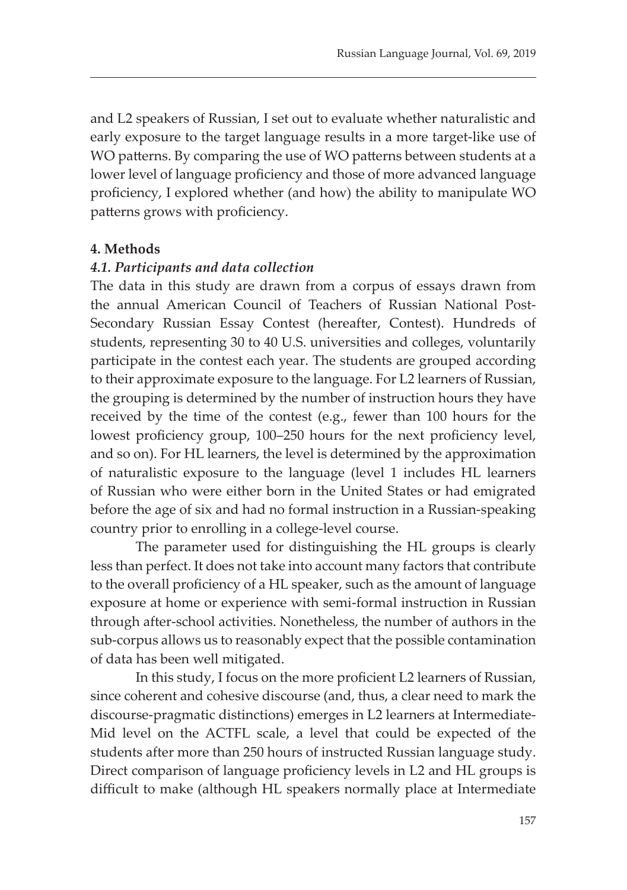and L2 speakers of Russian, I set out to evaluate whether naturalistic and early exposure to the target language results in a more target-like use of WO patterns. By comparing the use of WO patterns between students at a lower level of language proficiency and those of more advanced language proficiency, I explored whether (and how) the ability to manipulate WO patterns grows with proficiency.

#### **4. Methods**

#### *4.1. Participants and data collection*

The data in this study are drawn from a corpus of essays drawn from the annual American Council of Teachers of Russian National Post-Secondary Russian Essay Contest (hereafter, Contest). Hundreds of students, representing 30 to 40 U.S. universities and colleges, voluntarily participate in the contest each year. The students are grouped according to their approximate exposure to the language. For L2 learners of Russian, the grouping is determined by the number of instruction hours they have received by the time of the contest (e.g., fewer than 100 hours for the lowest proficiency group, 100–250 hours for the next proficiency level, and so on). For HL learners, the level is determined by the approximation of naturalistic exposure to the language (level 1 includes HL learners of Russian who were either born in the United States or had emigrated before the age of six and had no formal instruction in a Russian-speaking country prior to enrolling in a college-level course.

The parameter used for distinguishing the HL groups is clearly less than perfect. It does not take into account many factors that contribute to the overall proficiency of a HL speaker, such as the amount of language exposure at home or experience with semi-formal instruction in Russian through after-school activities. Nonetheless, the number of authors in the sub-corpus allows us to reasonably expect that the possible contamination of data has been well mitigated.

In this study, I focus on the more proficient L2 learners of Russian, since coherent and cohesive discourse (and, thus, a clear need to mark the discourse-pragmatic distinctions) emerges in L2 learners at Intermediate-Mid level on the ACTFL scale, a level that could be expected of the students after more than 250 hours of instructed Russian language study. Direct comparison of language proficiency levels in L2 and HL groups is difficult to make (although HL speakers normally place at Intermediate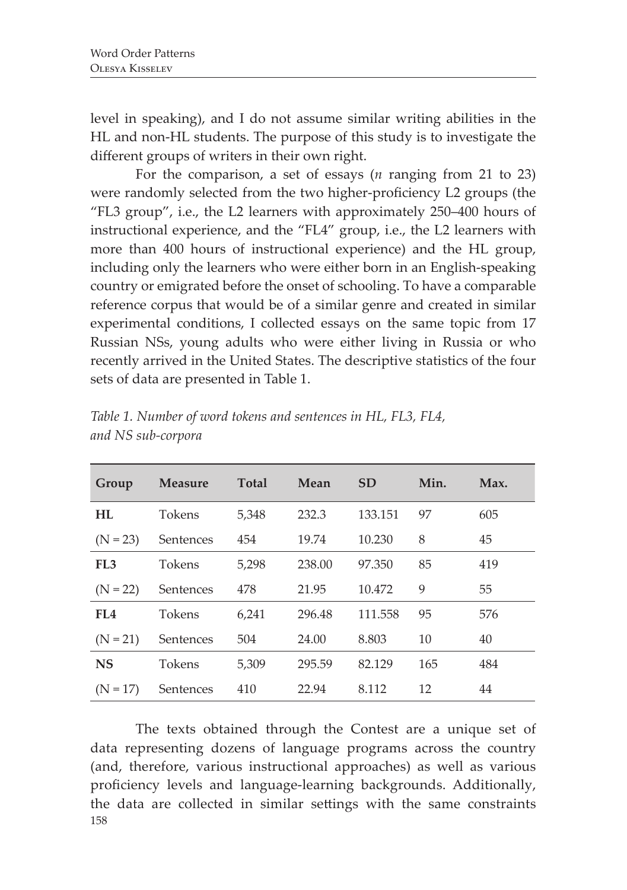level in speaking), and I do not assume similar writing abilities in the HL and non-HL students. The purpose of this study is to investigate the different groups of writers in their own right.

For the comparison, a set of essays (*n* ranging from 21 to 23) were randomly selected from the two higher-proficiency L2 groups (the "FL3 group", i.e., the L2 learners with approximately 250–400 hours of instructional experience, and the "FL4" group, i.e., the L2 learners with more than 400 hours of instructional experience) and the HL group, including only the learners who were either born in an English-speaking country or emigrated before the onset of schooling. To have a comparable reference corpus that would be of a similar genre and created in similar experimental conditions, I collected essays on the same topic from 17 Russian NSs, young adults who were either living in Russia or who recently arrived in the United States. The descriptive statistics of the four sets of data are presented in Table 1.

| Group           | <b>Measure</b> | Total | Mean   | <b>SD</b> | Min. | Max. |
|-----------------|----------------|-------|--------|-----------|------|------|
| HL              | Tokens         | 5,348 | 232.3  | 133.151   | 97   | 605  |
| $(N = 23)$      | Sentences      | 454   | 19.74  | 10.230    | 8    | 45   |
| FL <sub>3</sub> | <b>Tokens</b>  | 5,298 | 238.00 | 97.350    | 85   | 419  |
| $(N = 22)$      | Sentences      | 478   | 21.95  | 10.472    | 9    | 55   |
| FL <sub>4</sub> | <b>Tokens</b>  | 6,241 | 296.48 | 111.558   | 95   | 576  |
| $(N = 21)$      | Sentences      | 504   | 24.00  | 8.803     | 10   | 40   |
| <b>NS</b>       | Tokens         | 5.309 | 295.59 | 82.129    | 165  | 484  |
| $(N = 17)$      | Sentences      | 410   | 22.94  | 8.112     | 12   | 44   |

*Table 1. Number of word tokens and sentences in HL, FL3, FL4, and NS sub-corpora*

158 The texts obtained through the Contest are a unique set of data representing dozens of language programs across the country (and, therefore, various instructional approaches) as well as various proficiency levels and language-learning backgrounds. Additionally, the data are collected in similar settings with the same constraints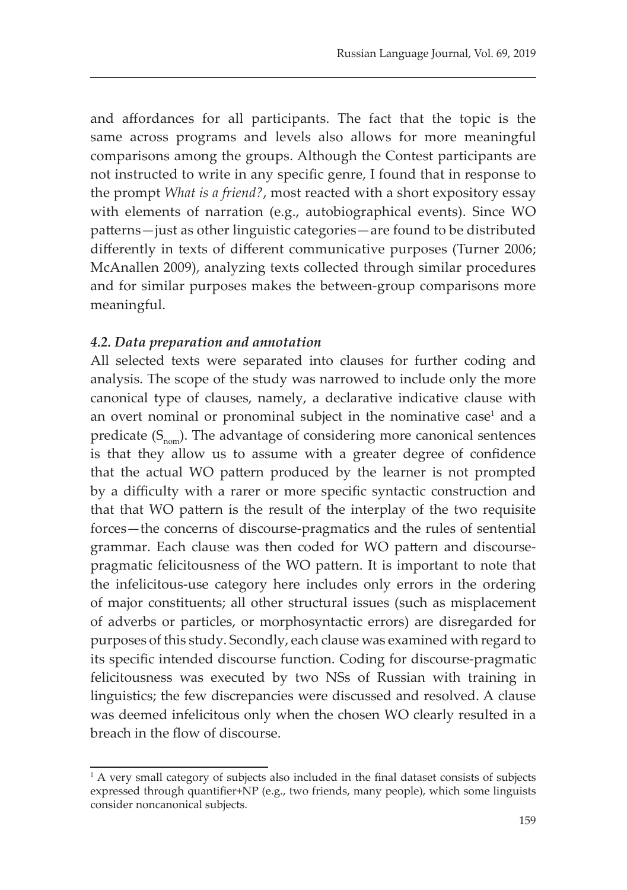and affordances for all participants. The fact that the topic is the same across programs and levels also allows for more meaningful comparisons among the groups. Although the Contest participants are not instructed to write in any specific genre, I found that in response to the prompt *What is a friend?*, most reacted with a short expository essay with elements of narration (e.g., autobiographical events). Since WO patterns—just as other linguistic categories—are found to be distributed differently in texts of different communicative purposes (Turner 2006; McAnallen 2009), analyzing texts collected through similar procedures and for similar purposes makes the between-group comparisons more meaningful.

#### *4.2. Data preparation and annotation*

All selected texts were separated into clauses for further coding and analysis. Тhe scope of the study was narrowed to include only the more canonical type of clauses, namely, a declarative indicative clause with an overt nominal or pronominal subject in the nominative case<sup>1</sup> and a predicate  $(S_{\text{nom}})$ . The advantage of considering more canonical sentences is that they allow us to assume with a greater degree of confidence that the actual WO pattern produced by the learner is not prompted by a difficulty with a rarer or more specific syntactic construction and that that WO pattern is the result of the interplay of the two requisite forces—the concerns of discourse-pragmatics and the rules of sentential grammar. Each clause was then coded for WO pattern and discoursepragmatic felicitousness of the WO pattern. It is important to note that the infelicitous-use category here includes only errors in the ordering of major constituents; all other structural issues (such as misplacement of adverbs or particles, or morphosyntactic errors) are disregarded for purposes of this study. Secondly, each clause was examined with regard to its specific intended discourse function. Coding for discourse-pragmatic felicitousness was executed by two NSs of Russian with training in linguistics; the few discrepancies were discussed and resolved. A clause was deemed infelicitous only when the chosen WO clearly resulted in a breach in the flow of discourse.

<sup>&</sup>lt;sup>1</sup> A very small category of subjects also included in the final dataset consists of subjects expressed through quantifier+NP (e.g., two friends, many people), which some linguists consider noncanonical subjects.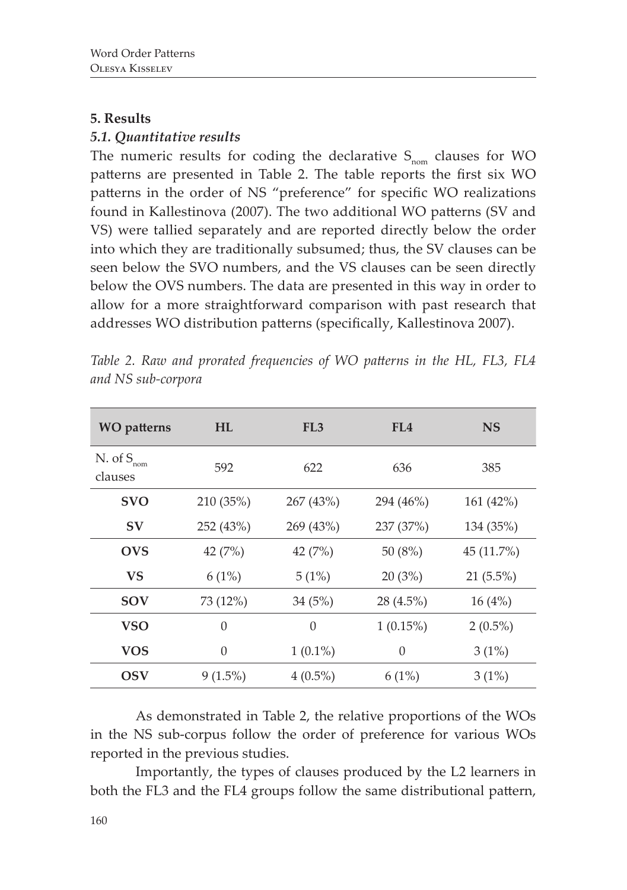#### **5. Results**

# *5.1. Quantitative results*

The numeric results for coding the declarative  $S_{\text{nom}}$  clauses for WO patterns are presented in Table 2. The table reports the first six WO patterns in the order of NS "preference" for specific WO realizations found in Kallestinova (2007). The two additional WO patterns (SV and VS) were tallied separately and are reported directly below the order into which they are traditionally subsumed; thus, the SV clauses can be seen below the SVO numbers, and the VS clauses can be seen directly below the OVS numbers. The data are presented in this way in order to allow for a more straightforward comparison with past research that addresses WO distribution patterns (specifically, Kallestinova 2007).

| <b>WO</b> patterns                      | <b>HL</b>        | FL <sub>3</sub> | FL4              | <b>NS</b>   |
|-----------------------------------------|------------------|-----------------|------------------|-------------|
| N. of $S_{\hbox{\tiny nom}}$<br>clauses | 592              | 622             | 636              | 385         |
| <b>SVO</b>                              | 210 (35%)        | 267 (43%)       | 294 (46%)        | 161 (42%)   |
| SV                                      | 252 (43%)        | 269 (43%)       | 237 (37%)        | 134 (35%)   |
| <b>OVS</b>                              | 42 $(7%)$        | 42 $(7%)$       | 50 $(8%)$        | 45 (11.7%)  |
| <b>VS</b>                               | 6(1%)            | 5(1%)           | 20(3%)           | $21(5.5\%)$ |
| <b>SOV</b>                              | 73 (12%)         | 34(5%)          | 28 (4.5%)        | 16(4%)      |
| <b>VSO</b>                              | $\theta$         | $\overline{0}$  | $1(0.15\%)$      | $2(0.5\%)$  |
| <b>VOS</b>                              | $\boldsymbol{0}$ | $1(0.1\%)$      | $\boldsymbol{0}$ | 3(1%)       |
| OSV                                     | $9(1.5\%)$       | $4(0.5\%)$      | 6(1%)            | 3(1%)       |

*Table 2. Raw and prorated frequencies of WO patterns in the HL, FL3, FL4 and NS sub-corpora*

As demonstrated in Table 2, the relative proportions of the WOs in the NS sub-corpus follow the order of preference for various WOs reported in the previous studies.

Importantly, the types of clauses produced by the L2 learners in both the FL3 and the FL4 groups follow the same distributional pattern,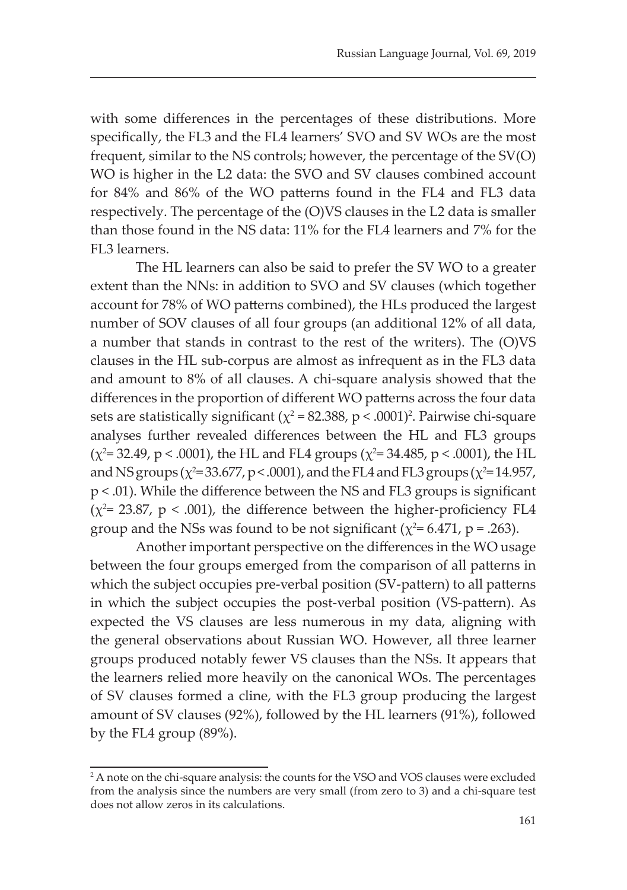with some differences in the percentages of these distributions. More specifically, the FL3 and the FL4 learners' SVO and SV WOs are the most frequent, similar to the NS controls; however, the percentage of the SV(O) WO is higher in the L2 data: the SVO and SV clauses combined account for 84% and 86% of the WO patterns found in the FL4 and FL3 data respectively. The percentage of the (O)VS clauses in the L2 data is smaller than those found in the NS data: 11% for the FL4 learners and 7% for the FL3 learners.

The HL learners can also be said to prefer the SV WO to a greater extent than the NNs: in addition to SVO and SV clauses (which together account for 78% of WO patterns combined), the HLs produced the largest number of SOV clauses of all four groups (an additional 12% of all data, a number that stands in contrast to the rest of the writers). The (O)VS clauses in the HL sub-corpus are almost as infrequent as in the FL3 data and amount to 8% of all clauses. A chi-square analysis showed that the differences in the proportion of different WO patterns across the four data sets are statistically significant ( $\chi^2$  = 82.388, p < .0001)<sup>2</sup>. Pairwise chi-square analyses further revealed differences between the HL and FL3 groups  $(\chi^2$ = 32.49, p < .0001), the HL and FL4 groups ( $\chi^2$ = 34.485, p < .0001), the HL and NS groups ( $\chi^2$ =33.677, p < .0001), and the FL4 and FL3 groups ( $\chi^2$ =14.957, p < .01). While the difference between the NS and FL3 groups is significant ( $\chi^2$ = 23.87, p < .001), the difference between the higher-proficiency FL4 group and the NSs was found to be not significant ( $\chi^2$ = 6.471, p = .263).

Another important perspective on the differences in the WO usage between the four groups emerged from the comparison of all patterns in which the subject occupies pre-verbal position (SV-pattern) to all patterns in which the subject occupies the post-verbal position (VS-pattern). As expected the VS clauses are less numerous in my data, aligning with the general observations about Russian WO. However, all three learner groups produced notably fewer VS clauses than the NSs. It appears that the learners relied more heavily on the canonical WOs. The percentages of SV clauses formed a cline, with the FL3 group producing the largest amount of SV clauses (92%), followed by the HL learners (91%), followed by the FL4 group (89%).

<sup>2</sup> A note on the chi-square analysis: the counts for the VSO and VOS clauses were excluded from the analysis since the numbers are very small (from zero to 3) and a chi-square test does not allow zeros in its calculations.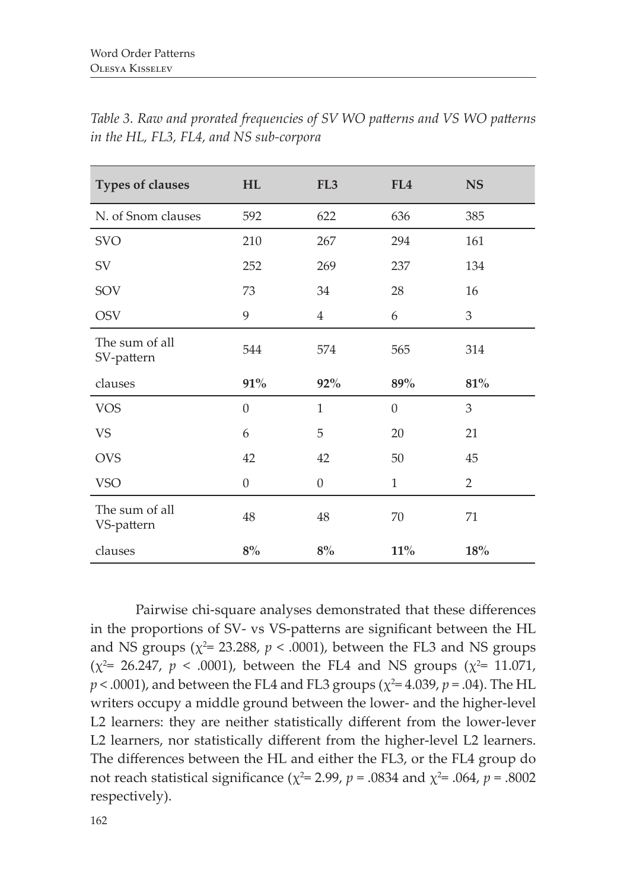| <b>Types of clauses</b>      | HL               | FL <sub>3</sub>  | FL4              | <b>NS</b>      |
|------------------------------|------------------|------------------|------------------|----------------|
| N. of Snom clauses           | 592              | 622              | 636              | 385            |
| <b>SVO</b>                   | 210              | 267              | 294              | 161            |
| SV                           | 252              | 269              | 237              | 134            |
| SOV                          | 73               | 34               | 28               | 16             |
| <b>OSV</b>                   | 9                | $\overline{4}$   | 6                | 3              |
| The sum of all<br>SV-pattern | 544              | 574              | 565              | 314            |
|                              |                  |                  |                  |                |
| clauses                      | 91%              | $92\%$           | 89%              | 81%            |
| <b>VOS</b>                   | $\boldsymbol{0}$ | $\mathbf{1}$     | $\boldsymbol{0}$ | 3              |
| <b>VS</b>                    | 6                | 5                | 20               | 21             |
| <b>OVS</b>                   | 42               | 42               | 50               | 45             |
| <b>VSO</b>                   | $\boldsymbol{0}$ | $\boldsymbol{0}$ | $\mathbf{1}$     | $\overline{2}$ |
| The sum of all<br>VS-pattern | 48               | 48               | 70               | 71             |

*Table 3. Raw and prorated frequencies of SV WO patterns and VS WO patterns in the HL, FL3, FL4, and NS sub-corpora*

Pairwise chi-square analyses demonstrated that these differences in the proportions of SV- vs VS-patterns are significant between the HL and NS groups ( $\chi^2$ = 23.288,  $p < .0001$ ), between the FL3 and NS groups  $(x^2 = 26.247, p < .0001)$ , between the FL4 and NS groups  $(x^2 = 11.071,$  $p < .0001$ ), and between the FL4 and FL3 groups ( $\chi^2$ = 4.039,  $p$  = .04). The HL writers occupy a middle ground between the lower- and the higher-level L2 learners: they are neither statistically different from the lower-lever L2 learners, nor statistically different from the higher-level L2 learners. The differences between the HL and either the FL3, or the FL4 group do not reach statistical significance ( $\chi^2$ = 2.99, *p* = .0834 and  $\chi^2$ = .064, *p* = .8002 respectively).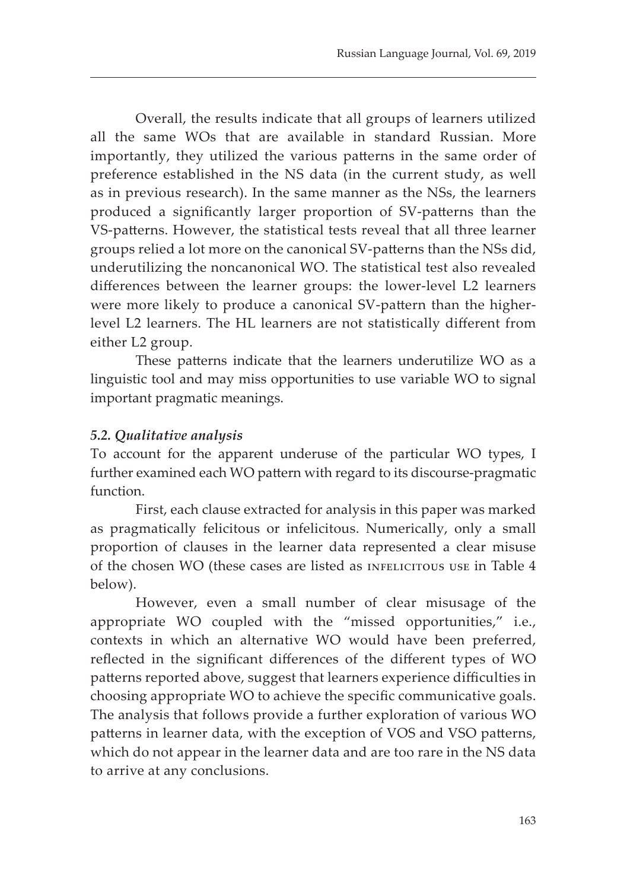Overall, the results indicate that all groups of learners utilized all the same WOs that are available in standard Russian. More importantly, they utilized the various patterns in the same order of preference established in the NS data (in the current study, as well as in previous research). In the same manner as the NSs, the learners produced a significantly larger proportion of SV-patterns than the VS-patterns. However, the statistical tests reveal that all three learner groups relied a lot more on the canonical SV-patterns than the NSs did, underutilizing the noncanonical WO. The statistical test also revealed differences between the learner groups: the lower-level L2 learners were more likely to produce a canonical SV-pattern than the higherlevel L2 learners. The HL learners are not statistically different from either L2 group.

These patterns indicate that the learners underutilize WO as a linguistic tool and may miss opportunities to use variable WO to signal important pragmatic meanings.

# *5.2. Qualitative analysis*

To account for the apparent underuse of the particular WO types, I further examined each WO pattern with regard to its discourse-pragmatic function.

First, each clause extracted for analysis in this paper was marked as pragmatically felicitous or infelicitous. Numerically, only a small proportion of clauses in the learner data represented a clear misuse of the chosen WO (these cases are listed as INFELICITOUS USE in Table 4 below).

However, even a small number of clear misusage of the appropriate WO coupled with the "missed opportunities," i.e., contexts in which an alternative WO would have been preferred, reflected in the significant differences of the different types of WO patterns reported above, suggest that learners experience difficulties in choosing appropriate WO to achieve the specific communicative goals. The analysis that follows provide a further exploration of various WO patterns in learner data, with the exception of VOS and VSO patterns, which do not appear in the learner data and are too rare in the NS data to arrive at any conclusions.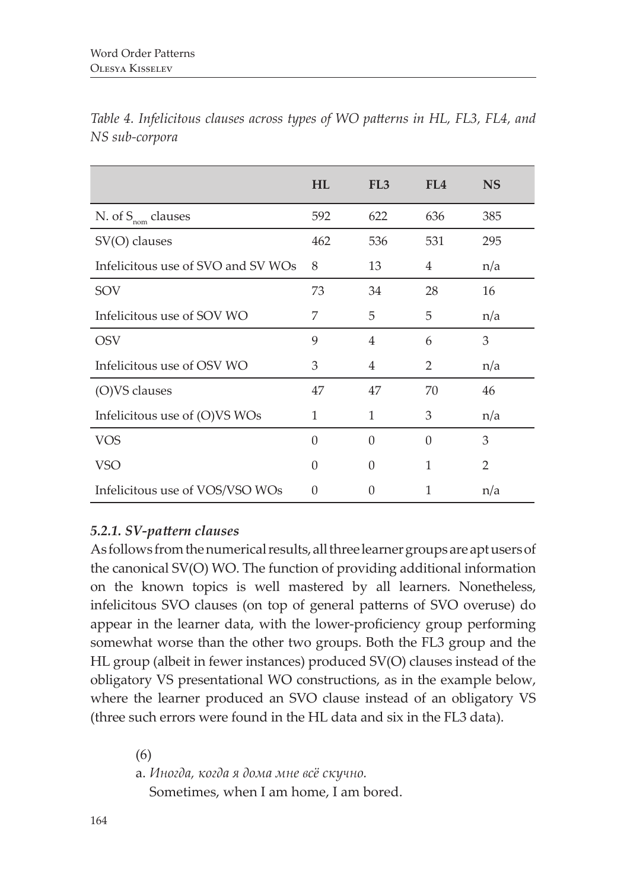| $180$ Sub-Corpora                  |           |                 |     |           |
|------------------------------------|-----------|-----------------|-----|-----------|
|                                    | <b>HL</b> | FL <sub>3</sub> | FL4 | <b>NS</b> |
| N. of $S_{\text{nom}}$ clauses     | 592       | 622             | 636 | 385       |
| SV(O) clauses                      | 462       | 536             | 531 | 295       |
| Infelicitous use of SVO and SV WOs | - 8       | 13              | 4   | n/a       |
| SON                                | 73        | 34              | 28  | 16        |

*Table 4. Infelicitous clauses across types of WO patterns in HL, FL3, FL4, and NS sub-corpora*

# SOV 73 34 28 16 Infelicitous use of SOV WO 7 5 5 n/a OSV 9 4 6 3 Infelicitous use of OSV WO 3 4 2 n/a (O)VS clauses  $47$   $47$   $47$   $70$   $46$ Infelicitous use of (O)VS WOs  $1$  1 3  $n/a$ VOS 0 0 0 3  $VSO$  0 0 1 2 Infelicitous use of VOS/VSO WOs 0 0 1 n/a

# *5.2.1. SV-pattern clauses*

As follows from the numerical results, all three learner groups are apt users of the canonical SV(O) WO. The function of providing additional information on the known topics is well mastered by all learners. Nonetheless, infelicitous SVO clauses (on top of general patterns of SVO overuse) do appear in the learner data, with the lower-proficiency group performing somewhat worse than the other two groups. Both the FL3 group and the HL group (albeit in fewer instances) produced SV(O) clauses instead of the obligatory VS presentational WO constructions, as in the example below, where the learner produced an SVO clause instead of an obligatory VS (three such errors were found in the HL data and six in the FL3 data).

(6)

a. *Иногда, когда я дома мне всë скучно.*

Sometimes, when I am home, I am bored.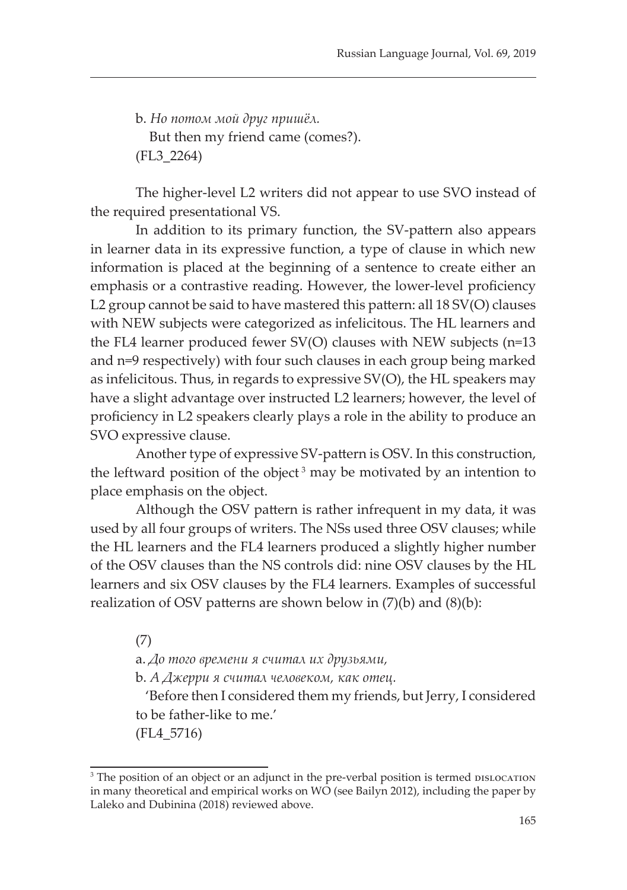b. *Но потом мой друг пришёл.* But then my friend came (comes?). (FL3\_2264)

The higher-level L2 writers did not appear to use SVO instead of the required presentational VS.

In addition to its primary function, the SV-pattern also appears in learner data in its expressive function, a type of clause in which new information is placed at the beginning of a sentence to create either an emphasis or a contrastive reading. However, the lower-level proficiency L2 group cannot be said to have mastered this pattern: all 18 SV(O) clauses with NEW subjects were categorized as infelicitous. The HL learners and the FL4 learner produced fewer SV(O) clauses with NEW subjects (n=13 and n=9 respectively) with four such clauses in each group being marked as infelicitous. Thus, in regards to expressive SV(O), the HL speakers may have a slight advantage over instructed L2 learners; however, the level of proficiency in L2 speakers clearly plays a role in the ability to produce an SVO expressive clause.

Another type of expressive SV-pattern is OSV. In this construction, the leftward position of the object<sup>3</sup> may be motivated by an intention to place emphasis on the object.

Although the OSV pattern is rather infrequent in my data, it was used by all four groups of writers. The NSs used three OSV clauses; while the HL learners and the FL4 learners produced a slightly higher number of the OSV clauses than the NS controls did: nine OSV clauses by the HL learners and six OSV clauses by the FL4 learners. Examples of successful realization of OSV patterns are shown below in  $(7)(b)$  and  $(8)(b)$ :

(7)

a. *До того времени я считал их друзьями,*

b. *А Джерри я считал человеком, как отец.*

 'Before then I considered them my friends, but Jerry, I considered to be father-like to me.'

(FL4\_5716)

<sup>&</sup>lt;sup>3</sup> The position of an object or an adjunct in the pre-verbal position is termed DISLOCATION in many theoretical and empirical works on WO (see Bailyn 2012), including the paper by Laleko and Dubinina (2018) reviewed above.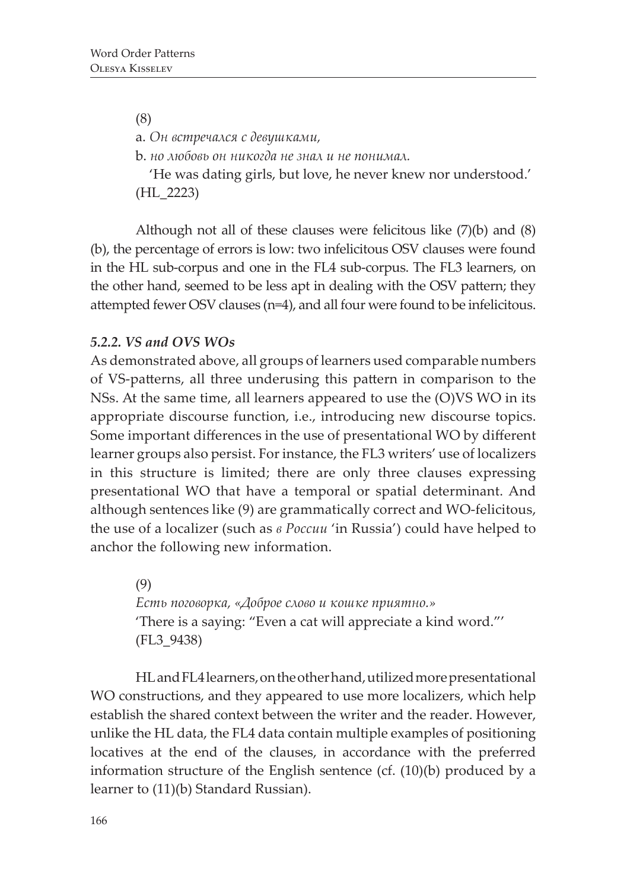(8) a. *Он встречался с девушками,* b. *но любовь он никогда не знал и не понимал.* 'He was dating girls, but love, he never knew nor understood.' (HL\_2223)

Although not all of these clauses were felicitous like (7)(b) and (8) (b), the percentage of errors is low: two infelicitous OSV clauses were found in the HL sub-corpus and one in the FL4 sub-corpus. The FL3 learners, on the other hand, seemed to be less apt in dealing with the OSV pattern; they attempted fewer OSV clauses (n=4), and all four were found to be infelicitous.

# *5.2.2. VS and OVS WOs*

As demonstrated above, all groups of learners used comparable numbers of VS-patterns, all three underusing this pattern in comparison to the NSs. At the same time, all learners appeared to use the (O)VS WO in its appropriate discourse function, i.e., introducing new discourse topics. Some important differences in the use of presentational WO by different learner groups also persist. For instance, the FL3 writers' use of localizers in this structure is limited; there are only three clauses expressing presentational WO that have a temporal or spatial determinant. And although sentences like (9) are grammatically correct and WO-felicitous, the use of a localizer (such as *в России* 'in Russia') could have helped to anchor the following new information.

> (9) *Есть поговорка, «Доброе слово и кошке приятно.»* 'There is a saying: "Even a cat will appreciate a kind word."' (FL3\_9438)

HL and FL4 learners, on the other hand, utilized more presentational WO constructions, and they appeared to use more localizers, which help establish the shared context between the writer and the reader. However, unlike the HL data, the FL4 data contain multiple examples of positioning locatives at the end of the clauses, in accordance with the preferred information structure of the English sentence (cf. (10)(b) produced by a learner to (11)(b) Standard Russian).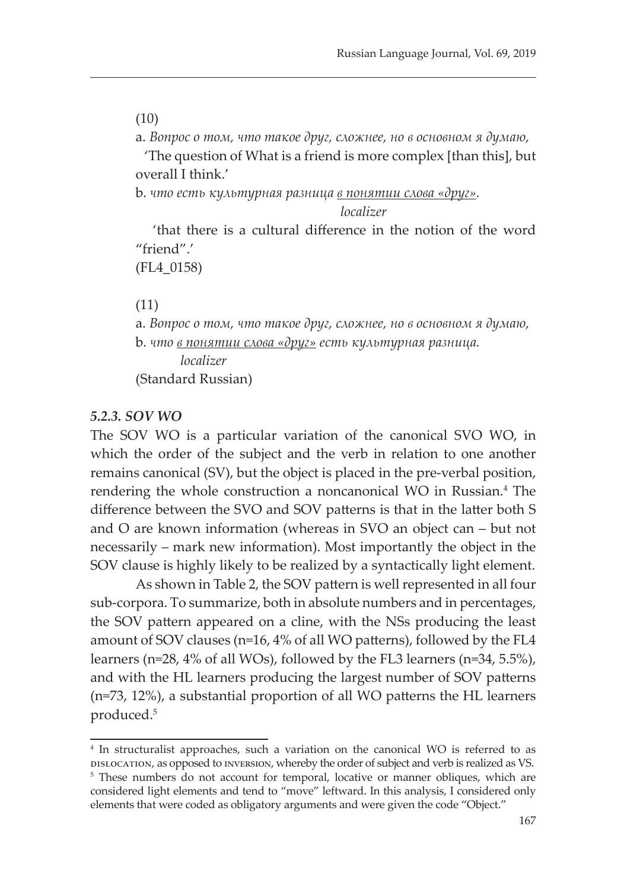(10)

a. *Вопрос о том, что такое друг, сложнее, но в основном я думаю,*

 'The question of What is a friend is more complex [than this], but overall I think.'

b. *что есть культурная разница в понятии слова «друг».*

*localizer*

 'that there is a cultural difference in the notion of the word "friend".'

(FL4\_0158)

(11)

a. *Вопрос о том, что такое друг, сложнее, но в основном я думаю,* b. *что в понятии слова «друг» есть культурная разница. localizer* (Standard Russian)

#### *5.2.3. SOV WO*

The SOV WO is a particular variation of the canonical SVO WO, in which the order of the subject and the verb in relation to one another remains canonical (SV), but the object is placed in the pre-verbal position, rendering the whole construction a noncanonical WO in Russian.<sup>4</sup> The difference between the SVO and SOV patterns is that in the latter both S and O are known information (whereas in SVO an object can – but not necessarily – mark new information). Most importantly the object in the SOV clause is highly likely to be realized by a syntactically light element.

As shown in Table 2, the SOV pattern is well represented in all four sub-corpora. To summarize, both in absolute numbers and in percentages, the SOV pattern appeared on a cline, with the NSs producing the least amount of SOV clauses (n=16, 4% of all WO patterns), followed by the FL4 learners (n=28, 4% of all WOs), followed by the FL3 learners (n=34, 5.5%), and with the HL learners producing the largest number of SOV patterns (n=73, 12%), a substantial proportion of all WO patterns the HL learners produced.<sup>5</sup>

<sup>4</sup> In structuralist approaches, such a variation on the canonical WO is referred to as dislocation, as opposed to inversion, whereby the order of subject and verb is realized as VS.

<sup>&</sup>lt;sup>5</sup> These numbers do not account for temporal, locative or manner obliques, which are considered light elements and tend to "move" leftward. In this analysis, I considered only elements that were coded as obligatory arguments and were given the code "Object."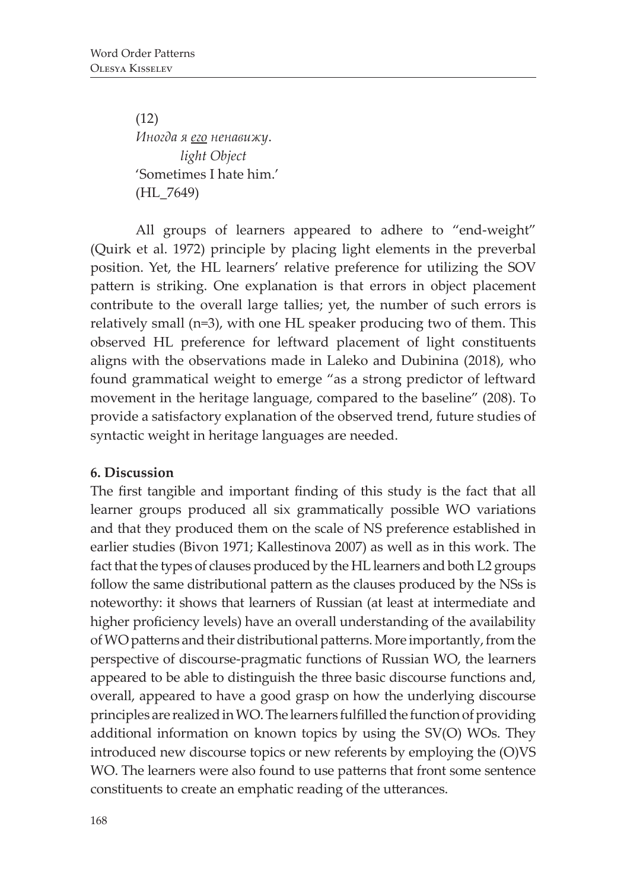(12) *Иногда я его ненавижу*. *light Object* 'Sometimes I hate him.' (HL\_7649)

All groups of learners appeared to adhere to "end-weight" (Quirk et al. 1972) principle by placing light elements in the preverbal position. Yet, the HL learners' relative preference for utilizing the SOV pattern is striking. One explanation is that errors in object placement contribute to the overall large tallies; yet, the number of such errors is relatively small (n=3), with one HL speaker producing two of them. This observed HL preference for leftward placement of light constituents aligns with the observations made in Laleko and Dubinina (2018), who found grammatical weight to emerge "as a strong predictor of leftward movement in the heritage language, compared to the baseline" (208). To provide a satisfactory explanation of the observed trend, future studies of syntactic weight in heritage languages are needed.

#### **6. Discussion**

The first tangible and important finding of this study is the fact that all learner groups produced all six grammatically possible WO variations and that they produced them on the scale of NS preference established in earlier studies (Bivon 1971; Kallestinova 2007) as well as in this work. The fact that the types of clauses produced by the HL learners and both L2 groups follow the same distributional pattern as the clauses produced by the NSs is noteworthy: it shows that learners of Russian (at least at intermediate and higher proficiency levels) have an overall understanding of the availability of WO patterns and their distributional patterns. More importantly, from the perspective of discourse-pragmatic functions of Russian WO, the learners appeared to be able to distinguish the three basic discourse functions and, overall, appeared to have a good grasp on how the underlying discourse principles are realized in WO. The learners fulfilled the function of providing additional information on known topics by using the SV(O) WOs. They introduced new discourse topics or new referents by employing the (O)VS WO. The learners were also found to use patterns that front some sentence constituents to create an emphatic reading of the utterances.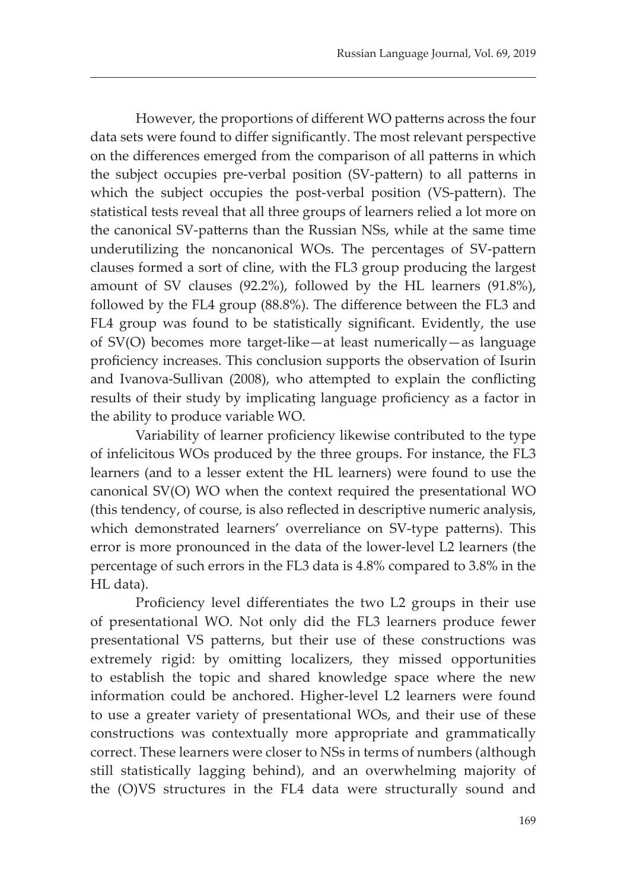However, the proportions of different WO patterns across the four data sets were found to differ significantly. The most relevant perspective on the differences emerged from the comparison of all patterns in which the subject occupies pre-verbal position (SV-pattern) to all patterns in which the subject occupies the post-verbal position (VS-pattern). The statistical tests reveal that all three groups of learners relied a lot more on the canonical SV-patterns than the Russian NSs, while at the same time underutilizing the noncanonical WOs. The percentages of SV-pattern clauses formed a sort of cline, with the FL3 group producing the largest amount of SV clauses (92.2%), followed by the HL learners (91.8%), followed by the FL4 group (88.8%). The difference between the FL3 and FL4 group was found to be statistically significant. Evidently, the use of SV(O) becomes more target-like—at least numerically—as language proficiency increases. This conclusion supports the observation of Isurin and Ivanova-Sullivan (2008), who attempted to explain the conflicting results of their study by implicating language proficiency as a factor in the ability to produce variable WO.

Variability of learner proficiency likewise contributed to the type of infelicitous WOs produced by the three groups. For instance, the FL3 learners (and to a lesser extent the HL learners) were found to use the canonical SV(O) WO when the context required the presentational WO (this tendency, of course, is also reflected in descriptive numeric analysis, which demonstrated learners' overreliance on SV-type patterns). This error is more pronounced in the data of the lower-level L2 learners (the percentage of such errors in the FL3 data is 4.8% compared to 3.8% in the HL data).

Proficiency level differentiates the two L2 groups in their use of presentational WO. Not only did the FL3 learners produce fewer presentational VS patterns, but their use of these constructions was extremely rigid: by omitting localizers, they missed opportunities to establish the topic and shared knowledge space where the new information could be anchored. Higher-level L2 learners were found to use a greater variety of presentational WOs, and their use of these constructions was contextually more appropriate and grammatically correct. These learners were closer to NSs in terms of numbers (although still statistically lagging behind), and an overwhelming majority of the (O)VS structures in the FL4 data were structurally sound and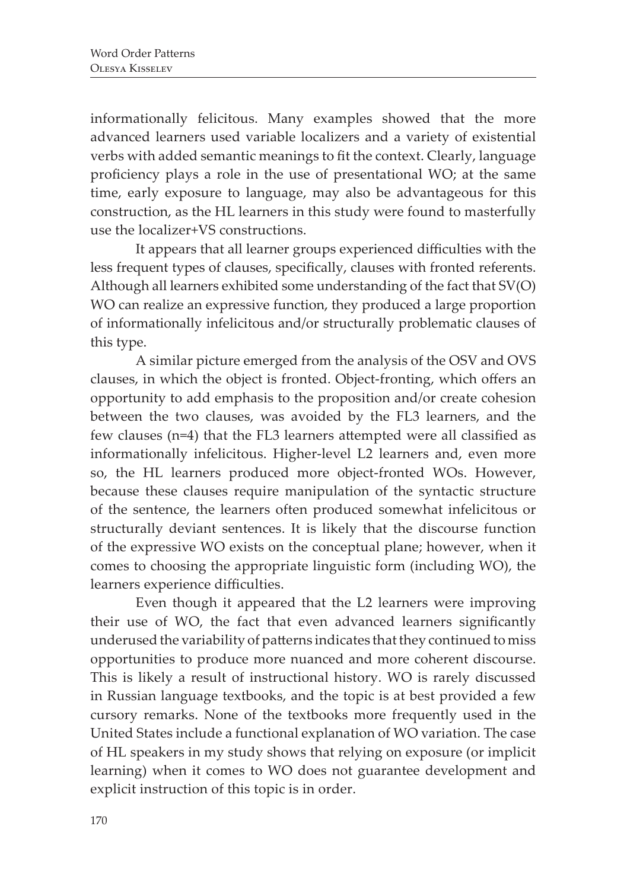informationally felicitous. Many examples showed that the more advanced learners used variable localizers and a variety of existential verbs with added semantic meanings to fit the context. Clearly, language proficiency plays a role in the use of presentational WO; at the same time, early exposure to language, may also be advantageous for this construction, as the HL learners in this study were found to masterfully use the localizer+VS constructions.

It appears that all learner groups experienced difficulties with the less frequent types of clauses, specifically, clauses with fronted referents. Although all learners exhibited some understanding of the fact that SV(O) WO can realize an expressive function, they produced a large proportion of informationally infelicitous and/or structurally problematic clauses of this type.

A similar picture emerged from the analysis of the OSV and OVS clauses, in which the object is fronted. Object-fronting, which offers an opportunity to add emphasis to the proposition and/or create cohesion between the two clauses, was avoided by the FL3 learners, and the few clauses (n=4) that the FL3 learners attempted were all classified as informationally infelicitous. Higher-level L2 learners and, even more so, the HL learners produced more object-fronted WOs. However, because these clauses require manipulation of the syntactic structure of the sentence, the learners often produced somewhat infelicitous or structurally deviant sentences. It is likely that the discourse function of the expressive WO exists on the conceptual plane; however, when it comes to choosing the appropriate linguistic form (including WO), the learners experience difficulties.

Even though it appeared that the L2 learners were improving their use of WO, the fact that even advanced learners significantly underused the variability of patterns indicates that they continued to miss opportunities to produce more nuanced and more coherent discourse. This is likely a result of instructional history. WO is rarely discussed in Russian language textbooks, and the topic is at best provided a few cursory remarks. None of the textbooks more frequently used in the United States include a functional explanation of WO variation. The case of HL speakers in my study shows that relying on exposure (or implicit learning) when it comes to WO does not guarantee development and explicit instruction of this topic is in order.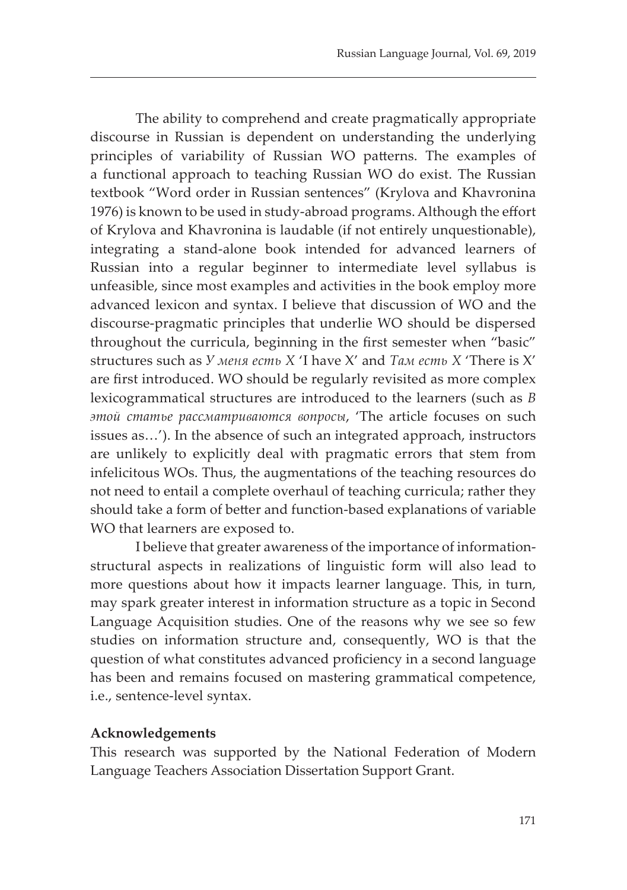The ability to comprehend and create pragmatically appropriate discourse in Russian is dependent on understanding the underlying principles of variability of Russian WO patterns. The examples of a functional approach to teaching Russian WO do exist. The Russian textbook "Word order in Russian sentences" (Krylova and Khavronina 1976) is known to be used in study-abroad programs. Although the effort of Krylova and Khavronina is laudable (if not entirely unquestionable), integrating a stand-alone book intended for advanced learners of Russian into a regular beginner to intermediate level syllabus is unfeasible, since most examples and activities in the book employ more advanced lexicon and syntax. I believe that discussion of WO and the discourse-pragmatic principles that underlie WO should be dispersed throughout the curricula, beginning in the first semester when "basic" structures such as *У меня есть Х* 'I have X' and *Там есть Х* 'There is X' are first introduced. WO should be regularly revisited as more complex lexicogrammatical structures are introduced to the learners (such as *В этой статье рассматриваются вопросы*, 'The article focuses on such issues as…'). In the absence of such an integrated approach, instructors are unlikely to explicitly deal with pragmatic errors that stem from infelicitous WOs. Thus, the augmentations of the teaching resources do not need to entail a complete overhaul of teaching curricula; rather they should take a form of better and function-based explanations of variable WO that learners are exposed to.

I believe that greater awareness of the importance of informationstructural aspects in realizations of linguistic form will also lead to more questions about how it impacts learner language. This, in turn, may spark greater interest in information structure as a topic in Second Language Acquisition studies. One of the reasons why we see so few studies on information structure and, consequently, WO is that the question of what constitutes advanced proficiency in a second language has been and remains focused on mastering grammatical competence, i.e., sentence-level syntax.

#### **Acknowledgements**

This research was supported by the National Federation of Modern Language Teachers Association Dissertation Support Grant.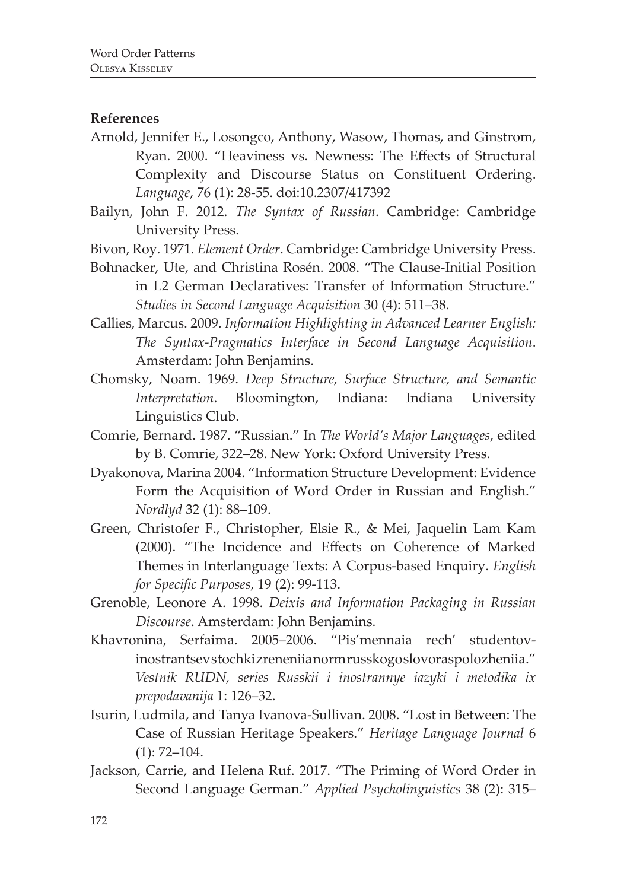#### **References**

- Arnold, Jennifer E., Losongco, Anthony, Wasow, Thomas, and Ginstrom, Ryan. 2000. "Heaviness vs. Newness: The Effects of Structural Complexity and Discourse Status on Constituent Ordering. *Language*, 76 (1): 28-55. doi:10.2307/417392
- Bailyn, John F. 2012. *The Syntax of Russian*. Cambridge: Cambridge University Press.
- Bivon, Roy. 1971. *Element Order*. Cambridge: Cambridge University Press.
- Bohnacker, Ute, and Christina Rosén. 2008. "The Clause-Initial Position in L2 German Declaratives: Transfer of Information Structure." *Studies in Second Language Acquisition* 30 (4): 511–38.
- Callies, Marcus. 2009. *Information Highlighting in Advanced Learner English: The Syntax-Pragmatics Interface in Second Language Acquisition*. Amsterdam: John Benjamins.
- Chomsky, Noam. 1969. *Deep Structure, Surface Structure, and Semantic Interpretation*. Bloomington, Indiana: Indiana University Linguistics Club.
- Comrie, Bernard. 1987. "Russian." In *The World's Major Languages*, edited by B. Comrie, 322–28. New York: Oxford University Press.
- Dyakonova, Marina 2004. "Information Structure Development: Evidence Form the Acquisition of Word Order in Russian and English." *Nordlyd* 32 (1): 88–109.
- Green, Christofer F., Christopher, Elsie R., & Mei, Jaquelin Lam Kam (2000). "The Incidence and Effects on Coherence of Marked Themes in Interlanguage Texts: A Corpus-based Enquiry. *English for Specific Purposes*, 19 (2): 99-113.
- Grenoble, Leonore A. 1998. *Deixis and Information Packaging in Russian Discourse*. Amsterdam: John Benjamins.
- Khavronina, Serfaima. 2005–2006. "Pis'mennaia rech' studentovinostrantsev stochki zrenenii a norm russkogo slovoras polozheniia." *Vestnik RUDN, series Russkii i inostrannye iazyki i metodika ix prepodavanija* 1: 126–32.
- Isurin, Ludmila, and Tanya Ivanova-Sullivan. 2008. "Lost in Between: The Case of Russian Heritage Speakers." *Heritage Language Journal* 6  $(1)$ : 72–104.
- Jackson, Carrie, and Helena Ruf. 2017. "The Priming of Word Order in Second Language German." *Applied Psycholinguistics* 38 (2): 315–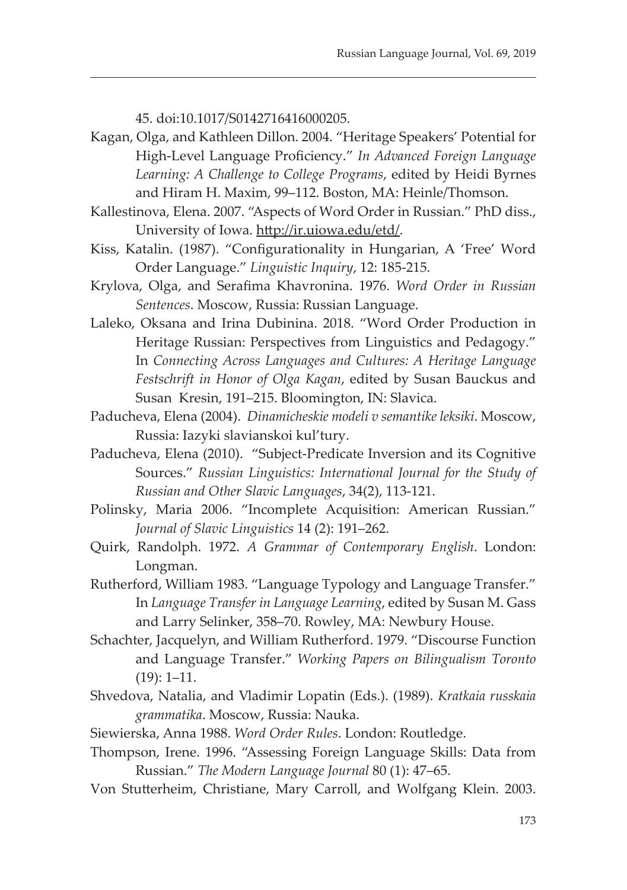45. doi:10.1017/S0142716416000205.

- Kagan, Olga, and Kathleen Dillon. 2004. "Heritage Speakers' Potential for High-Level Language Proficiency." *In Advanced Foreign Language Learning: A Challenge to College Programs*, edited by Heidi Byrnes and Hiram H. Maxim, 99–112. Boston, MA: Heinle/Thomson.
- Kallestinova, Elena. 2007. "Aspects of Word Order in Russian." PhD diss., University of Iowa. http://ir.uiowa.edu/etd/.
- Kiss, Katalin. (1987). "Configurationality in Hungarian, A 'Free' Word Order Language." *Linguistic Inquiry*, 12: 185-215.
- Krylova, Olga, and Serafima Khavronina. 1976. *Word Order in Russian Sentences*. Moscow, Russia: Russian Language.
- Laleko, Oksana and Irina Dubinina. 2018. "Word Order Production in Heritage Russian: Perspectives from Linguistics and Pedagogy." In *Connecting Across Languages and Cultures: A Heritage Language Festschrift in Honor of Olga Kagan*, edited by Susan Bauckus and Susan Kresin, 191–215. Bloomington, IN: Slavica.
- Paducheva, Elena (2004). *Dinamicheskie modeli v semantike leksiki*. Moscow, Russia: Iazyki slavianskoi kul'tury.
- Paducheva, Elena (2010). "Subject-Predicate Inversion and its Cognitive Sources." *Russian Linguistics: International Journal for the Study of Russian and Other Slavic Languages*, 34(2), 113-121.
- Polinsky, Maria 2006. "Incomplete Acquisition: American Russian." *Journal of Slavic Linguistics* 14 (2): 191–262.
- Quirk, Randolph. 1972. *A Grammar of Contemporary English*. London: Longman.
- Rutherford, William 1983. "Language Typology and Language Transfer." In *Language Transfer in Language Learning*, edited by Susan M. Gass and Larry Selinker, 358–70. Rowley, MA: Newbury House.
- Schachter, Jacquelyn, and William Rutherford. 1979. "Discourse Function and Language Transfer." *Working Papers on Bilingualism Toronto* (19): 1–11.
- Shvedova, Natalia, and Vladimir Lopatin (Eds.). (1989). *Kratkaia russkaia grammatika*. Moscow, Russia: Nauka.
- Siewierska, Anna 1988. *Word Order Rules*. London: Routledge.
- Thompson, Irene. 1996. "Assessing Foreign Language Skills: Data from Russian." *The Modern Language Journal* 80 (1): 47–65.
- Von Stutterheim, Christiane, Mary Carroll, and Wolfgang Klein. 2003.